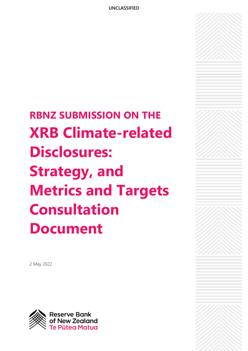**RBNZ SUBMISSION ON THE XRB Climate-related Disclosures: Strategy, and Metrics and Targets Consultation Document**

2 May 2022

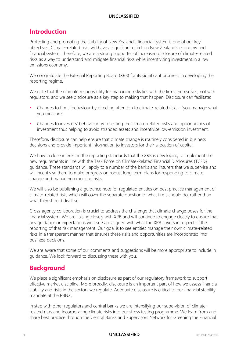# **Introduction**

Protecting and promoting the stability of New Zealand's financial system is one of our key objectives. Climate-related risks will have a significant effect on New Zealand's economy and financial system. Therefore, we are a strong supporter of increased disclosure of climate-related risks as a way to understand and mitigate financial risks while incentivising investment in a low emissions economy.

We congratulate the External Reporting Board (XRB) for its significant progress in developing the reporting regime.

We note that the ultimate responsibility for managing risks lies with the firms themselves, not with regulators, and we see disclosure as a key step to making that happen. Disclosure can facilitate:

- Changes to firms' behaviour by directing attention to climate-related risks 'you manage what you measure'.
- Changes to investors' behaviour by reflecting the climate-related risks and opportunities of investment thus helping to avoid stranded assets and incentivise low-emission investment.

Therefore, disclosure can help ensure that climate change is routinely considered in business decisions and provide important information to investors for their allocation of capital.

We have a close interest in the reporting standards that the XRB is developing to implement the new requirements in line with the Task Force on Climate-Related Financial Disclosures (TCFD) guidance. These standards will apply to a number of the banks and insurers that we supervise and will incentivise them to make progress on robust long-term plans for responding to climate change and managing emerging risks.

We will also be publishing a guidance note for regulated entities on best practice management of climate-related risks which will cover the separate question of what firms should do, rather than what they should disclose.

Cross-agency collaboration is crucial to address the challenge that climate change poses for the financial system. We are liaising closely with XRB and will continue to engage closely to ensure that any guidance or expectations we issue are aligned with what the XRB covers in respect of the reporting of that risk management. Our goal is to see entities manage their own climate-related risks in a transparent manner that ensures these risks and opportunities are incorporated into business decisions.

We are aware that some of our comments and suggestions will be more appropriate to include in guidance. We look forward to discussing these with you.

# **Background**

We place a significant emphasis on disclosure as part of our regulatory framework to support effective market discipline. More broadly, disclosure is an important part of how we assess financial stability and risks in the sectors we regulate. Adequate disclosure is critical to our financial stability mandate at the RBNZ.

In step with other regulators and central banks we are intensifying our supervision of climaterelated risks and incorporating climate risks into our stress testing programme. We learn from and share best practice through the Central Banks and Supervisors Network for Greening the Financial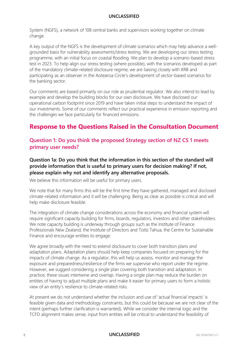System (NGFS), a network of 108 central banks and supervisors working together on climate change.

A key output of the NGFS is the development of climate scenarios which may help advance a wellgrounded basis for vulnerability assessments/stress testing. We are developing our stress testing programme, with an initial focus on coastal flooding. We plan to develop a scenario-based stress test in 2023. To help align our stress testing (where possible), with the scenarios developed as part of the mandatory climate-related disclosure regime, we are liaising closely with XRB and participating as an observer in the Aotearoa Circle's development of sector-based scenarios for the banking sector.

Our comments are based primarily on our role as prudential regulator. We also intend to lead by example and develop the building blocks for our own disclosure. We have disclosed our operational carbon footprint since 2019 and have taken initial steps to understand the impact of our investments. Some of our comments reflect our practical experience in emission reporting and the challenges we face particularly for financed emissions.

# **Response to the Questions Raised in the Consultation Document**

### **Question 1: Do you think the proposed Strategy section of NZ CS 1 meets primary user needs?**

**Question 1a: Do you think that the information in this section of the standard will provide information that is useful to primary users for decision making? If not, please explain why not and identify any alternative proposals.**

We believe this information will be useful for primary users.

We note that for many firms this will be the first time they have gathered, managed and disclosed climate-related information and it will be challenging. Being as clear as possible is critical and will help make disclosure feasible.

The integration of climate change considerations across the economy and financial system will require significant capacity building for firms, boards, regulators, investors and other stakeholders. We note capacity building is underway through groups such as the Institute of Finance Professionals New Zealand, the Institute of Directors and Toitū Tahua, the Centre for Sustainable Finance and encourage entities to engage.

We agree broadly with the need to extend disclosure to cover both transition plans *and*  adaptation plans. Adaptation plans should help keep companies focused on preparing for the impacts of climate change. As a regulator, this will help us assess, monitor and manage the exposure and preparedness/resilience of the firms we supervise who report under the regime. However, we suggest considering a single plan covering both transition and adaptation. In practice, these issues intertwine and overlap. Having a single plan may reduce the burden on entities of having to adjust multiple plans and make it easier for primary users to form a holistic view of an entity's resilience to climate-related risks.

At present we do not understand whether the inclusion and use of 'actual financial impacts' is feasible given data and methodology constraints, but this could be because we are not clear of the intent (perhaps further clarification is warranted). While we consider the internal logic and the TCFD alignment makes sense, input from entities will be critical to understand the feasibility of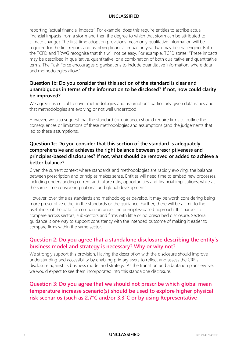reporting 'actual financial impacts'. For example, does this require entities to ascribe actual financial impacts from a storm and then the degree to which that storm can be attributed to climate change? The first-time adoption provisions mean only qualitative information will be required for the first report, and ascribing financial impact in year two may be challenging. Both the TCFD and TRWG recognise that this will not be easy. For example, TCFD states: "These impacts may be described in qualitative, quantitative, or a combination of both qualitative and quantitative terms. The Task Force encourages organisations to include quantitative information, where data and methodologies allow."

### **Question 1b: Do you consider that this section of the standard is clear and unambiguous in terms of the information to be disclosed? If not, how could clarity be improved?**

We agree it is critical to cover methodologies and assumptions particularly given data issues and that methodologies are evolving or not well understood.

However, we also suggest that the standard (or guidance) should require firms to outline the consequences or limitations of these methodologies and assumptions (and the judgements that led to these assumptions).

### **Question 1c: Do you consider that this section of the standard is adequately comprehensive and achieves the right balance between prescriptiveness and principles-based disclosures? If not, what should be removed or added to achieve a better balance?**

Given the current context where standards and methodologies are rapidly evolving, the balance between prescription and principles makes sense. Entities will need time to embed new processes, including understanding current and future risks, opportunities and financial implications, while at the same time considering national and global developments.

However, over time as standards and methodologies develop, it may be worth considering being more prescriptive either in the standards or the guidance. Further, there will be a limit to the usefulness of the data for comparison under the principles-based approach. It is harder to compare across sectors, sub-sectors and firms with little or no prescribed disclosure. Sectoral guidance is one way to support consistency with the intended outcome of making it easier to compare firms within the same sector.

## **Question 2: Do you agree that a standalone disclosure describing the entity's business model and strategy is necessary? Why or why not?**

We strongly support this provision. Having the description with the disclosure should improve understanding and accessibility by enabling primary users to reflect and assess the CRE's disclosure against its business model and strategy. As the transition and adaptation plans evolve, we would expect to see them incorporated into this standalone disclosure.

# **Question 3: Do you agree that we should not prescribe which global mean temperature increase scenario(s) should be used to explore higher physical risk scenarios (such as 2.7°C and/or 3.3°C or by using Representative**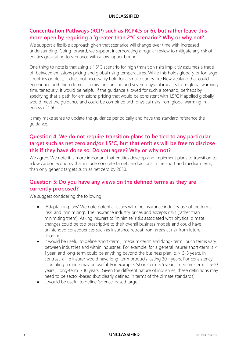### **Concentration Pathways (RCP) such as RCP4.5 or 6), but rather leave this more open by requiring a 'greater than 2°C scenario'? Why or why not?**

We support a flexible approach given that scenarios will change over time with increased understanding. Going forward, we support incorporating a regular review to mitigate any risk of entities gravitating to scenarios with a low 'upper bound'.

One thing to note is that using a 1.5°C scenario for high transition risks implicitly assumes a tradeoff between emissions pricing and global rising temperatures. While this holds globally or for large countries or blocs, it does not necessarily hold for a small country like New Zealand that could experience both high domestic emissions pricing and severe physical impacts from global warming simultaneously. It would be helpful if the guidance allowed for such a scenario, perhaps by specifying that a path for emissions pricing that would be consistent with 1.5°C if applied globally would meet the guidance and could be combined with physical risks from global warming in excess of 1.5C.

It may make sense to update the guidance periodically and have the standard reference the guidance.

# **Question 4: We do not require transition plans to be tied to any particular target such as net zero and/or 1.5°C, but that entities will be free to disclose this if they have done so. Do you agree? Why or why not?**

We agree. We note it is more important that entities develop and implement plans to transition to a low carbon economy that include concrete targets and actions in the short and medium term, than only generic targets such as net zero by 2050.

# **Question 5: Do you have any views on the defined terms as they are currently proposed?**

We suggest considering the following:

- 'Adaptation plans' We note potential issues with the insurance industry use of the terms 'risk' and 'minimising'. The insurance industry prices and accepts risks (rather than minimising them). Asking insurers to 'minimise' risks associated with physical climate changes could be too prescriptive to their overall business models and could have unintended consequences such as insurance retreat from areas at risk from future flooding.
- It would be useful to define 'short-term', 'medium-term' and 'long-term'. Such terms vary between industries and within industries. For example, for a general insurer short-term is < 1 year, and long-term could be anything beyond the business plan, c. > 3-5 years. In contrast, a life insurer would have long-term products lasting 30+ years. For consistency, stipulating a range may be useful. For example, 'short-term <5 year', 'medium-term is 5-10 years', 'long-term > 10 years'. Given the different nature of industries, these definitions may need to be sector-based (but clearly defined in terms of the climate standards).
- It would be useful to define 'science-based target'.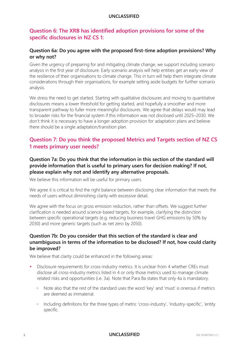## **Question 6: The XRB has identified adoption provisions for some of the specific disclosures in NZ CS 1:**

### **Question 6a: Do you agree with the proposed first-time adoption provisions? Why or why not?**

Given the urgency of preparing for and mitigating climate change, we support including scenario analysis in the first year of disclosure. Early scenario analysis will help entities get an early view of the resilience of their organisations to climate change. This in turn will help them integrate climate considerations through their organisations, for example setting aside budgets for further scenario analysis.

We stress the need to get started. Starting with qualitative disclosures and moving to quantitative disclosures means a lower threshold for getting started, and hopefully a smoother and more transparent pathway to fuller more meaningful disclosures. We agree that delays would may lead to broader risks for the financial system if this information was not disclosed until 2025–2030. We don't think it is necessary to have a longer adoption provision for adaptation plans and believe there should be a single adaptation/transition plan.

# **Question 7: Do you think the proposed Metrics and Targets section of NZ CS 1 meets primary user needs?**

### **Question 7a: Do you think that the information in this section of the standard will provide information that is useful to primary users for decision making? If not, please explain why not and identify any alternative proposals.**

We believe this information will be useful for primary users.

We agree it is critical to find the right balance between disclosing clear information that meets the needs of users without diminishing clarity with excessive detail.

We agree with the focus on gross emission reduction, rather than offsets. We suggest further clarification is needed around science-based targets, for example, clarifying the distinction between specific operational targets (e.g. reducing business travel GHG emissions by 50% by 2030) and more generic targets (such as net zero by 2050).

#### **Question 7b: Do you consider that this section of the standard is clear and unambiguous in terms of the information to be disclosed? If not, how could clarity be improved?**

We believe that clarity could be enhanced in the following areas:

- Disclosure requirements for cross-industry metrics. It is unclear from 4 whether CREs must disclose all cross-industry metrics listed in 4 or only those metrics used to manage climate related risks and opportunities (i.e. 3a). Note that Para 8a states that only 4a is mandatory.
	- Note also that the rest of the standard uses the word 'key' and 'must' is onerous if metrics are deemed as immaterial.
	- Including definitions for the three types of metric 'cross-industry', 'industry-specific', 'entity specific.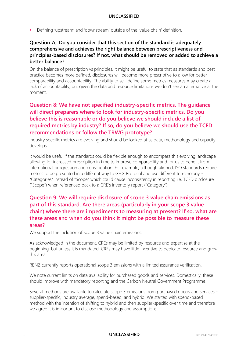Defining 'upstream' and 'downstream' outside of the 'value chain' definition.

### **Question 7c: Do you consider that this section of the standard is adequately comprehensive and achieves the right balance between prescriptiveness and principles-based disclosures? If not, what should be removed or added to achieve a better balance?**

On the balance of prescription vs principles, it might be useful to state that as standards and best practice becomes more defined, disclosures will become more prescriptive to allow for better comparability and accountability. The ability to self-define some metrics measures may create a lack of accountability, but given the data and resource limitations we don't see an alternative at the moment.

# **Question 8: We have not specified industry-specific metrics. The guidance will direct preparers where to look for industry-specific metrics. Do you believe this is reasonable or do you believe we should include a list of required metrics by industry? If so, do you believe we should use the TCFD recommendations or follow the TRWG prototype?**

Industry specific metrics are evolving and should be looked at as data, methodology and capacity develops.

It would be useful if the standards could be flexible enough to encompass this evolving landscape allowing for increased prescription in time to improve comparability and for us to benefit from international progression and consolidation. For example, although aligned, ISO standards require metrics to be presented in a different way to GHG Protocol and use different terminology - "Categories" instead of "Scope" which could cause inconsistency in reporting i.e. TCFD disclosure ("Scope") when referenced back to a CRE's inventory report ("Category").

# **Question 9: We will require disclosure of scope 3 value chain emissions as part of this standard. Are there areas (particularly in your scope 3 value chain) where there are impediments to measuring at present? If so, what are these areas and when do you think it might be possible to measure these areas?**

We support the inclusion of Scope 3 value chain emissions.

As acknowledged in the document, CREs may be limited by resource and expertise at the beginning, but unless it is mandated, CREs may have little incentive to dedicate resource and grow this area.

RBNZ currently reports operational scope 3 emissions with a limited assurance verification.

We note current limits on data availability for purchased goods and services. Domestically, these should improve with mandatory reporting and the Carbon Neutral Government Programme.

Several methods are available to calculate scope 3 emissions from purchased goods and services supplier-specific, industry average, spend-based, and hybrid. We started with spend-based method with the intention of shifting to hybrid and then supplier-specific over time and therefore we agree it is important to disclose methodology and assumptions.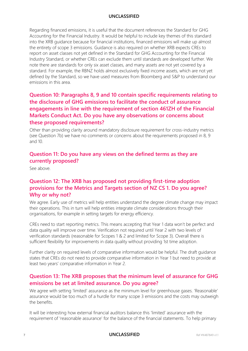Regarding financed emissions, it is useful that the document references the Standard for GHG Accounting for the Financial Industry. It would be helpful to include key themes of this standard into the XRB guidance because for financial institutions, financed emissions will make up almost the entirety of scope 3 emissions. Guidance is also required on whether XRB expects CREs to report on asset classes not yet defined in the Standard for GHG Accounting for the Financial Industry Standard, or whether CREs can exclude them until standards are developed further. We note there are standards for only six asset classes, and many assets are not yet covered by a standard. For example, the RBNZ holds almost exclusively fixed income assets, which are not yet defined by the Standard, so we have used measures from Bloomberg and S&P to understand our emissions in this area.

# **Question 10: Paragraphs 8, 9 and 10 contain specific requirements relating to the disclosure of GHG emissions to facilitate the conduct of assurance engagements in line with the requirement of section 461ZH of the Financial Markets Conduct Act. Do you have any observations or concerns about these proposed requirements?**

Other than providing clarity around mandatory disclosure requirement for cross-industry metrics (see Question 7b) we have no comments or concerns about the requirements proposed in 8, 9 and 10.

## **Question 11: Do you have any views on the defined terms as they are currently proposed?**

See above.

## **Question 12: The XRB has proposed not providing first-time adoption provisions for the Metrics and Targets section of NZ CS 1. Do you agree? Why or why not?**

We agree. Early use of metrics will help entities understand the degree climate change may impact their operations. This in turn will help entities integrate climate considerations through their organisations, for example in setting targets for energy efficiency.

CREs need to start reporting metrics. This means accepting that Year 1 data won't be perfect and data quality will improve over time. Verification not required until Year 2 with two levels of verification standards (reasonable for Scopes 1 & 2 and limited for Scope 3). Overall there is sufficient flexibility for improvements in data quality without providing 1st time adoption.

Further clarity on required levels of comparative information would be helpful. The draft guidance states that CREs do not need to provide comparative information in Year 1 but need to provide at least two years' comparative information in Year 2.

## **Question 13: The XRB proposes that the minimum level of assurance for GHG emissions be set at limited assurance. Do you agree?**

We agree with setting 'limited' assurance as the minimum level for greenhouse gases. 'Reasonable' assurance would be too much of a hurdle for many scope 3 emissions and the costs may outweigh the benefits.

It will be interesting how external financial auditors balance this 'limited' assurance with the requirement of 'reasonable assurance' for the balance of the financial statements. To help primary